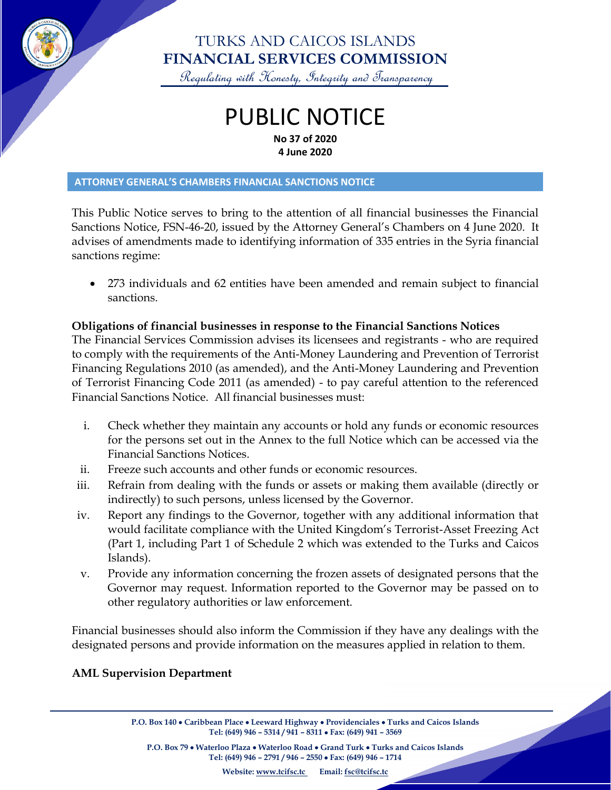

### TURKS AND CAICOS ISLANDS **FINANCIAL SERVICES COMMISSION**

Regulating with Honesty, Integrity and Transparency

## PUBLIC NOTICE **No 37 of 2020 4 June 2020**

#### **ATTORNEY GENERAL'S CHAMBERS FINANCIAL SANCTIONS NOTICE**

This Public Notice serves to bring to the attention of all financial businesses the Financial Sanctions Notice, FSN-46-20, issued by the Attorney General's Chambers on 4 June 2020. It advises of amendments made to identifying information of 335 entries in the Syria financial sanctions regime:

• 273 individuals and 62 entities have been amended and remain subject to financial sanctions.

#### **Obligations of financial businesses in response to the Financial Sanctions Notices**

The Financial Services Commission advises its licensees and registrants - who are required to comply with the requirements of the Anti-Money Laundering and Prevention of Terrorist Financing Regulations 2010 (as amended), and the Anti-Money Laundering and Prevention of Terrorist Financing Code 2011 (as amended) - to pay careful attention to the referenced Financial Sanctions Notice. All financial businesses must:

- i. Check whether they maintain any accounts or hold any funds or economic resources for the persons set out in the Annex to the full Notice which can be accessed via the Financial Sanctions Notices.
- ii. Freeze such accounts and other funds or economic resources.
- iii. Refrain from dealing with the funds or assets or making them available (directly or indirectly) to such persons, unless licensed by the Governor.
- iv. Report any findings to the Governor, together with any additional information that would facilitate compliance with the United Kingdom's Terrorist-Asset Freezing Act (Part 1, including Part 1 of Schedule 2 which was extended to the Turks and Caicos Islands).
- v. Provide any information concerning the frozen assets of designated persons that the Governor may request. Information reported to the Governor may be passed on to other regulatory authorities or law enforcement.

Financial businesses should also inform the Commission if they have any dealings with the designated persons and provide information on the measures applied in relation to them.

#### **AML Supervision Department**

**P.O. Box 140** • **Caribbean Place** • **Leeward Highway** • **Providenciales** • **Turks and Caicos Islands Tel: (649) 946 – 5314 / 941 – 8311** • **Fax: (649) 941 – 3569**

**P.O. Box 79** • **Waterloo Plaza** • **Waterloo Road** • **Grand Turk** • **Turks and Caicos Islands Tel: (649) 946 – 2791 / 946 – 2550** • **Fax: (649) 946 – 1714**